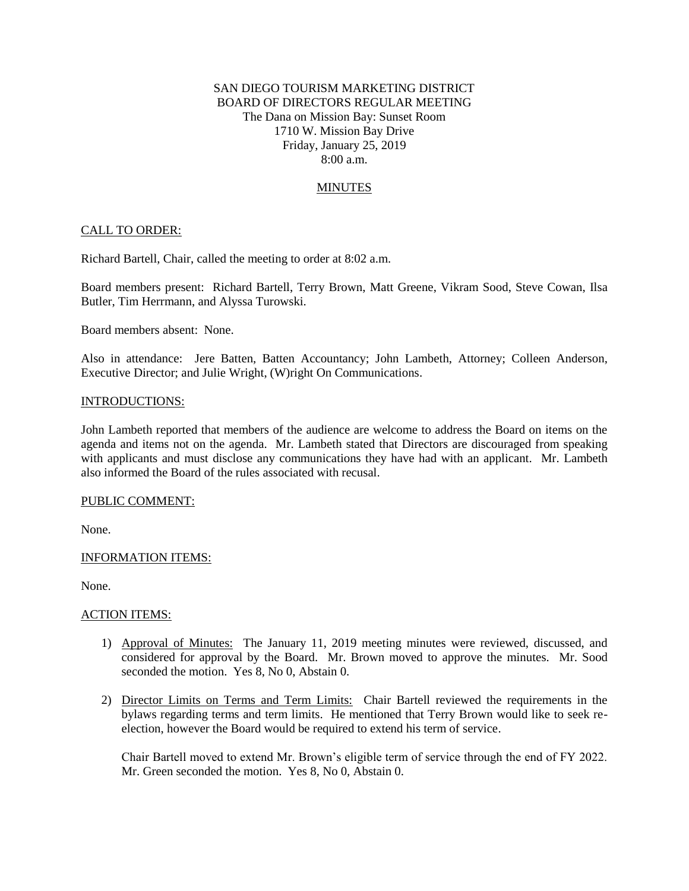# SAN DIEGO TOURISM MARKETING DISTRICT BOARD OF DIRECTORS REGULAR MEETING The Dana on Mission Bay: Sunset Room 1710 W. Mission Bay Drive Friday, January 25, 2019 8:00 a.m.

# **MINUTES**

## CALL TO ORDER:

Richard Bartell, Chair, called the meeting to order at 8:02 a.m.

Board members present: Richard Bartell, Terry Brown, Matt Greene, Vikram Sood, Steve Cowan, Ilsa Butler, Tim Herrmann, and Alyssa Turowski.

Board members absent: None.

Also in attendance: Jere Batten, Batten Accountancy; John Lambeth, Attorney; Colleen Anderson, Executive Director; and Julie Wright, (W)right On Communications.

### INTRODUCTIONS:

John Lambeth reported that members of the audience are welcome to address the Board on items on the agenda and items not on the agenda. Mr. Lambeth stated that Directors are discouraged from speaking with applicants and must disclose any communications they have had with an applicant. Mr. Lambeth also informed the Board of the rules associated with recusal.

### PUBLIC COMMENT:

None.

### INFORMATION ITEMS:

None.

### ACTION ITEMS:

- 1) Approval of Minutes: The January 11, 2019 meeting minutes were reviewed, discussed, and considered for approval by the Board. Mr. Brown moved to approve the minutes. Mr. Sood seconded the motion. Yes 8, No 0, Abstain 0.
- 2) Director Limits on Terms and Term Limits: Chair Bartell reviewed the requirements in the bylaws regarding terms and term limits. He mentioned that Terry Brown would like to seek reelection, however the Board would be required to extend his term of service.

Chair Bartell moved to extend Mr. Brown's eligible term of service through the end of FY 2022. Mr. Green seconded the motion. Yes 8, No 0, Abstain 0.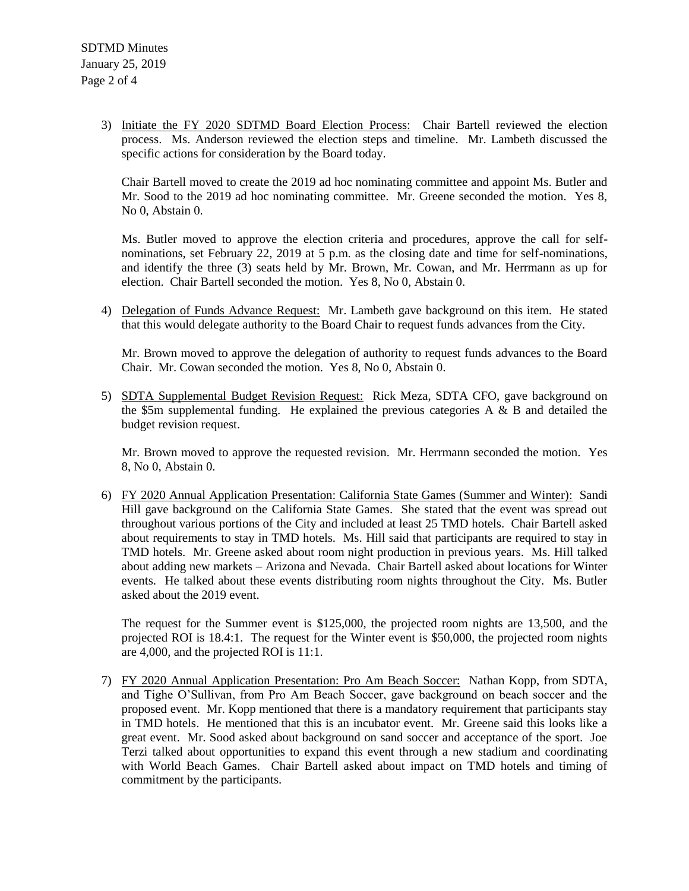3) Initiate the FY 2020 SDTMD Board Election Process: Chair Bartell reviewed the election process. Ms. Anderson reviewed the election steps and timeline. Mr. Lambeth discussed the specific actions for consideration by the Board today.

Chair Bartell moved to create the 2019 ad hoc nominating committee and appoint Ms. Butler and Mr. Sood to the 2019 ad hoc nominating committee. Mr. Greene seconded the motion. Yes 8, No 0, Abstain 0.

Ms. Butler moved to approve the election criteria and procedures, approve the call for selfnominations, set February 22, 2019 at 5 p.m. as the closing date and time for self-nominations, and identify the three (3) seats held by Mr. Brown, Mr. Cowan, and Mr. Herrmann as up for election. Chair Bartell seconded the motion. Yes 8, No 0, Abstain 0.

4) Delegation of Funds Advance Request: Mr. Lambeth gave background on this item. He stated that this would delegate authority to the Board Chair to request funds advances from the City.

Mr. Brown moved to approve the delegation of authority to request funds advances to the Board Chair. Mr. Cowan seconded the motion. Yes 8, No 0, Abstain 0.

5) SDTA Supplemental Budget Revision Request: Rick Meza, SDTA CFO, gave background on the \$5m supplemental funding. He explained the previous categories A  $\&$  B and detailed the budget revision request.

Mr. Brown moved to approve the requested revision. Mr. Herrmann seconded the motion. Yes 8, No 0, Abstain 0.

6) FY 2020 Annual Application Presentation: California State Games (Summer and Winter): Sandi Hill gave background on the California State Games. She stated that the event was spread out throughout various portions of the City and included at least 25 TMD hotels. Chair Bartell asked about requirements to stay in TMD hotels. Ms. Hill said that participants are required to stay in TMD hotels. Mr. Greene asked about room night production in previous years. Ms. Hill talked about adding new markets – Arizona and Nevada. Chair Bartell asked about locations for Winter events. He talked about these events distributing room nights throughout the City. Ms. Butler asked about the 2019 event.

The request for the Summer event is \$125,000, the projected room nights are 13,500, and the projected ROI is 18.4:1. The request for the Winter event is \$50,000, the projected room nights are 4,000, and the projected ROI is 11:1.

7) FY 2020 Annual Application Presentation: Pro Am Beach Soccer: Nathan Kopp, from SDTA, and Tighe O'Sullivan, from Pro Am Beach Soccer, gave background on beach soccer and the proposed event. Mr. Kopp mentioned that there is a mandatory requirement that participants stay in TMD hotels. He mentioned that this is an incubator event. Mr. Greene said this looks like a great event. Mr. Sood asked about background on sand soccer and acceptance of the sport. Joe Terzi talked about opportunities to expand this event through a new stadium and coordinating with World Beach Games. Chair Bartell asked about impact on TMD hotels and timing of commitment by the participants.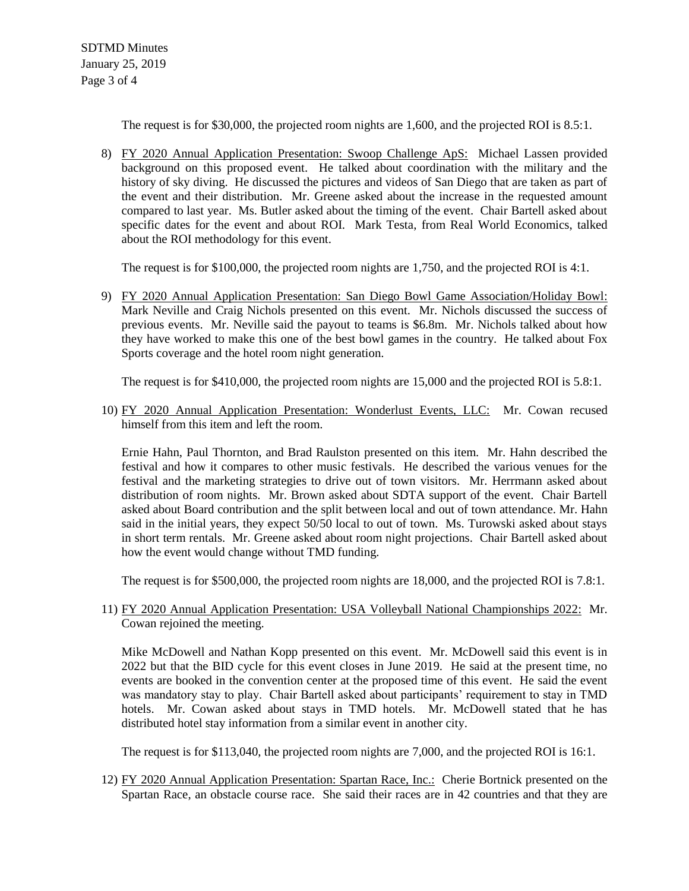The request is for \$30,000, the projected room nights are 1,600, and the projected ROI is 8.5:1.

8) FY 2020 Annual Application Presentation: Swoop Challenge ApS: Michael Lassen provided background on this proposed event. He talked about coordination with the military and the history of sky diving. He discussed the pictures and videos of San Diego that are taken as part of the event and their distribution. Mr. Greene asked about the increase in the requested amount compared to last year. Ms. Butler asked about the timing of the event. Chair Bartell asked about specific dates for the event and about ROI. Mark Testa, from Real World Economics, talked about the ROI methodology for this event.

The request is for \$100,000, the projected room nights are 1,750, and the projected ROI is 4:1.

9) FY 2020 Annual Application Presentation: San Diego Bowl Game Association/Holiday Bowl: Mark Neville and Craig Nichols presented on this event. Mr. Nichols discussed the success of previous events. Mr. Neville said the payout to teams is \$6.8m. Mr. Nichols talked about how they have worked to make this one of the best bowl games in the country. He talked about Fox Sports coverage and the hotel room night generation.

The request is for \$410,000, the projected room nights are 15,000 and the projected ROI is 5.8:1.

10) FY 2020 Annual Application Presentation: Wonderlust Events, LLC: Mr. Cowan recused himself from this item and left the room.

Ernie Hahn, Paul Thornton, and Brad Raulston presented on this item. Mr. Hahn described the festival and how it compares to other music festivals. He described the various venues for the festival and the marketing strategies to drive out of town visitors. Mr. Herrmann asked about distribution of room nights. Mr. Brown asked about SDTA support of the event. Chair Bartell asked about Board contribution and the split between local and out of town attendance. Mr. Hahn said in the initial years, they expect 50/50 local to out of town. Ms. Turowski asked about stays in short term rentals. Mr. Greene asked about room night projections. Chair Bartell asked about how the event would change without TMD funding.

The request is for \$500,000, the projected room nights are 18,000, and the projected ROI is 7.8:1.

# 11) FY 2020 Annual Application Presentation: USA Volleyball National Championships 2022: Mr. Cowan rejoined the meeting.

Mike McDowell and Nathan Kopp presented on this event. Mr. McDowell said this event is in 2022 but that the BID cycle for this event closes in June 2019. He said at the present time, no events are booked in the convention center at the proposed time of this event. He said the event was mandatory stay to play. Chair Bartell asked about participants' requirement to stay in TMD hotels. Mr. Cowan asked about stays in TMD hotels. Mr. McDowell stated that he has distributed hotel stay information from a similar event in another city.

The request is for \$113,040, the projected room nights are 7,000, and the projected ROI is 16:1.

12) FY 2020 Annual Application Presentation: Spartan Race, Inc.: Cherie Bortnick presented on the Spartan Race, an obstacle course race. She said their races are in 42 countries and that they are